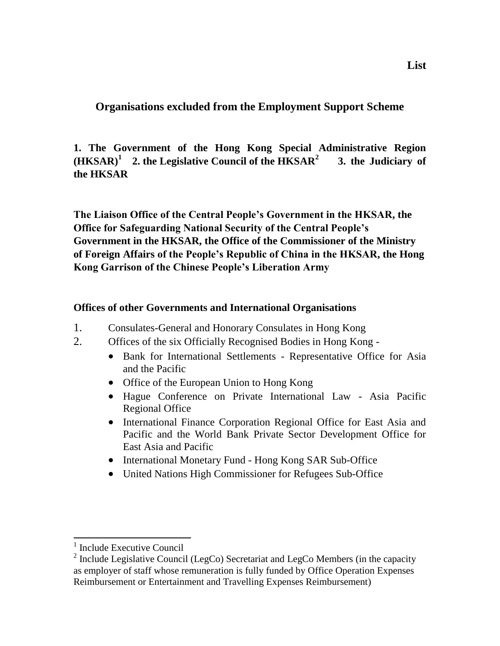**Organisations excluded from the Employment Support Scheme**

**1. The Government of the Hong Kong Special Administrative Region (HKSAR)<sup>1</sup> 2. the Legislative Council of the HKSAR<sup>2</sup> 3. the Judiciary of the HKSAR**

**The Liaison Office of the Central People's Government in the HKSAR, the Office for Safeguarding National Security of the Central People's Government in the HKSAR, the Office of the Commissioner of the Ministry of Foreign Affairs of the People's Republic of China in the HKSAR, the Hong Kong Garrison of the Chinese People's Liberation Army**

## **Offices of other Governments and International Organisations**

- 1. Consulates-General and Honorary Consulates in Hong Kong
- 2. Offices of the six Officially Recognised Bodies in Hong Kong
	- Bank for International Settlements Representative Office for Asia and the Pacific
	- Office of the European Union to Hong Kong
	- Hague Conference on Private International Law Asia Pacific Regional Office
	- International Finance Corporation Regional Office for East Asia and Pacific and the World Bank Private Sector Development Office for East Asia and Pacific
	- International Monetary Fund Hong Kong SAR Sub-Office
	- United Nations High Commissioner for Refugees Sub-Office

<sup>&</sup>lt;sup>1</sup> Include Executive Council

<sup>&</sup>lt;sup>2</sup> Include Legislative Council (LegCo) Secretariat and LegCo Members (in the capacity as employer of staff whose remuneration is fully funded by Office Operation Expenses Reimbursement or Entertainment and Travelling Expenses Reimbursement)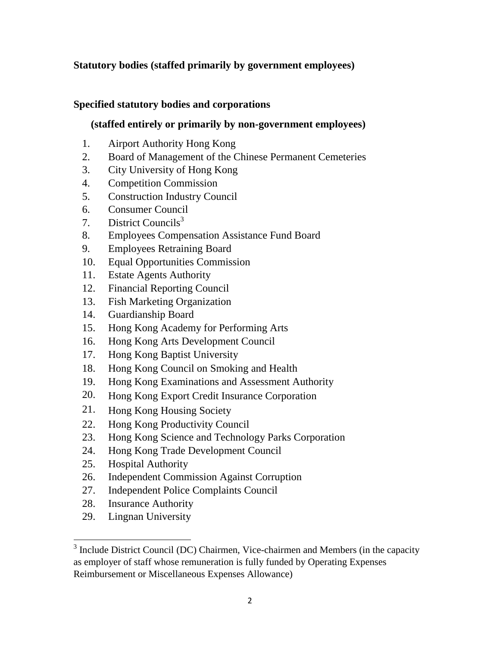# **Statutory bodies (staffed primarily by government employees)**

### **Specified statutory bodies and corporations**

### **(staffed entirely or primarily by non-government employees)**

- 1. Airport Authority Hong Kong
- 2. Board of Management of the Chinese Permanent Cemeteries
- 3. City University of Hong Kong
- 4. Competition Commission
- 5. Construction Industry Council
- 6. Consumer Council
- 7. District Councils<sup>3</sup>
- 8. Employees Compensation Assistance Fund Board
- 9. Employees Retraining Board
- 10. Equal Opportunities Commission
- 11. Estate Agents Authority
- 12. Financial Reporting Council
- 13. Fish Marketing Organization
- 14. Guardianship Board
- 15. Hong Kong Academy for Performing Arts
- 16. Hong Kong Arts Development Council
- 17. Hong Kong Baptist University
- 18. Hong Kong Council on Smoking and Health
- 19. Hong Kong Examinations and Assessment Authority
- 20. Hong Kong Export Credit Insurance Corporation
- 21. Hong Kong Housing Society
- 22. Hong Kong Productivity Council
- 23. Hong Kong Science and Technology Parks Corporation
- 24. Hong Kong Trade Development Council
- 25. Hospital Authority
- 26. Independent Commission Against Corruption
- 27. Independent Police Complaints Council
- 28. Insurance Authority
- 29. Lingnan University

<sup>&</sup>lt;sup>3</sup> Include District Council (DC) Chairmen, Vice-chairmen and Members (in the capacity as employer of staff whose remuneration is fully funded by Operating Expenses Reimbursement or Miscellaneous Expenses Allowance)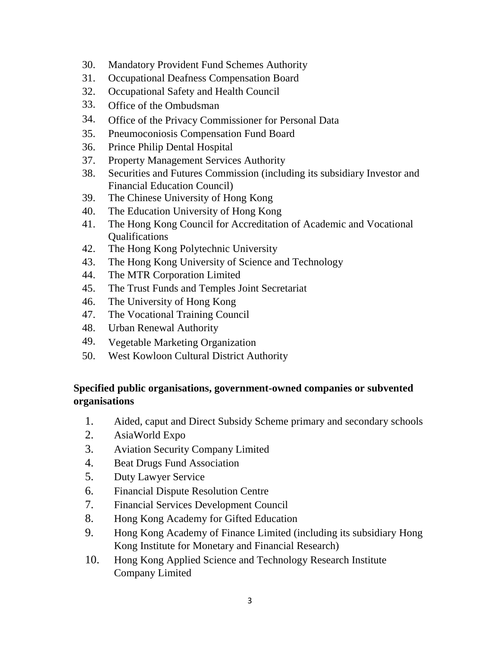- 30. Mandatory Provident Fund Schemes Authority
- 31. Occupational Deafness Compensation Board
- 32. Occupational Safety and Health Council
- 33. Office of the Ombudsman
- 34. Office of the Privacy Commissioner for Personal Data
- 35. Pneumoconiosis Compensation Fund Board
- 36. Prince Philip Dental Hospital
- 37. Property Management Services Authority
- 38. Securities and Futures Commission (including its subsidiary Investor and Financial Education Council)
- 39. The Chinese University of Hong Kong
- 40. The Education University of Hong Kong
- 41. The Hong Kong Council for Accreditation of Academic and Vocational **Oualifications**
- 42. The Hong Kong Polytechnic University
- 43. The Hong Kong University of Science and Technology
- 44. The MTR Corporation Limited
- 45. The Trust Funds and Temples Joint Secretariat
- 46. The University of Hong Kong
- 47. The Vocational Training Council
- 48. Urban Renewal Authority
- 49. Vegetable Marketing Organization
- 50. West Kowloon Cultural District Authority

# **Specified public organisations, government-owned companies or subvented organisations**

- 1. Aided, caput and Direct Subsidy Scheme primary and secondary schools
- 2. AsiaWorld Expo
- 3. Aviation Security Company Limited
- 4. Beat Drugs Fund Association
- 5. Duty Lawyer Service
- 6. Financial Dispute Resolution Centre
- 7. Financial Services Development Council
- 8. Hong Kong Academy for Gifted Education
- 9. Hong Kong Academy of Finance Limited (including its subsidiary Hong Kong Institute for Monetary and Financial Research)
- 10. Hong Kong Applied Science and Technology Research Institute Company Limited